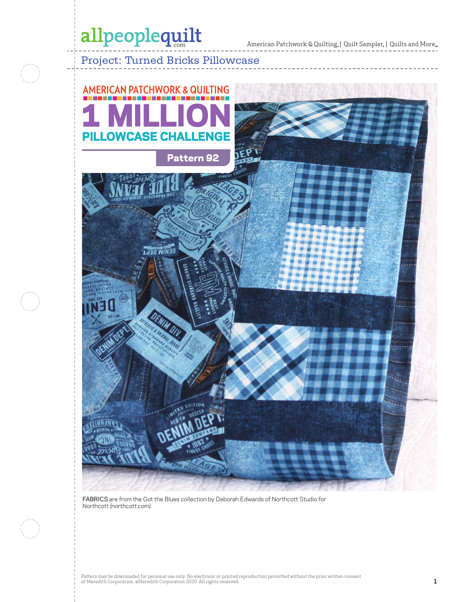# allpeoplequilt

 $\;$  American Patchwork & Quilting,  $\mid$  Quilt Sampler,  $\mid$  Quilts and More...

### Project: Turned Bricks Pillowcase



FABRICS are from the Got the Blues collection by Deborah Edwards of Northcott Studio for Northcott *(northcott.com)*.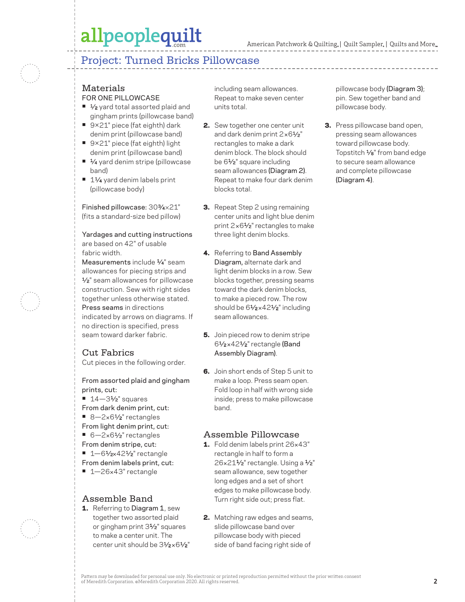## allpeoplequilt

### Project: Turned Bricks Pillowcase

#### Materials FOR ONE PILLOWCASE

- 1⁄2 yard total assorted plaid and gingham prints (pillowcase band)
- **•** 9×21" piece (fat eighth) dark denim print (pillowcase band)
- **•** 9×21" piece (fat eighth) light denim print (pillowcase band)
- <sup>1⁄4</sup> yard denim stripe (pillowcase band)
- 11⁄4 yard denim labels print (pillowcase body)

Finished pillowcase: 303⁄4×21" (fits a standard-size bed pillow)

Yardages and cutting instructions are based on 42" of usable fabric width.

Measurements include  $\frac{1}{4}$ " seam allowances for piecing strips and 1/2" seam allowances for pillowcase construction. Sew with right sides together unless otherwise stated. Press seams in directions indicated by arrows on diagrams. If no direction is specified, press seam toward darker fabric.

#### Cut Fabrics

Cut pieces in the following order.

From assorted plaid and gingham prints, cut:

- 14-31⁄2" squares
- From dark denim print, cut:
- 8-2×61⁄2" rectangles
- From light denim print, cut:
- 6-2×61⁄2" rectangles
- From denim stripe, cut:
- 1–61⁄<sub>2×</sub>421⁄<sub>2</sub>" rectangle
- From denim labels print, cut:
- **•** 1—26×43" rectangle

#### Assemble Band

1. Referring to Diagram 1, sew together two assorted plaid or gingham print 31⁄2" squares to make a center unit. The center unit should be  $3\frac{1}{2} \times 6\frac{1}{2}$ " including seam allowances. Repeat to make seven center units total.

- 2. Sew together one center unit and dark denim print  $2 \times 6\frac{1}{2}$ " rectangles to make a dark denim block. The block should be 61⁄2" square including seam allowances (Diagram 2). Repeat to make four dark denim blocks total.
- **3.** Repeat Step 2 using remaining center units and light blue denim print 2×61⁄2" rectangles to make three light denim blocks.
- 4. Referring to Band Assembly Diagram, alternate dark and light denim blocks in a row. Sew blocks together, pressing seams toward the dark denim blocks, to make a pieced row. The row should be 6<sup>1</sup>/<sub>2</sub>×42<sup>1</sup>/<sub>2</sub>" including seam allowances.
- **5.** Join pieced row to denim stripe 61⁄2 ×421⁄2" rectangle (Band Assembly Diagram).
- 6. Join short ends of Step 5 unit to make a loop. Press seam open. Fold loop in half with wrong side inside; press to make pillowcase band.

#### Assemble Pillowcase

- 1. Fold denim labels print 26×43" rectangle in half to form a 26×211⁄2" rectangle. Using a 1/2" seam allowance, sew together long edges and a set of short edges to make pillowcase body. Turn right side out; press flat.
- 2. Matching raw edges and seams, slide pillowcase band over pillowcase body with pieced side of band facing right side of

pillowcase body (Diagram 3); pin. Sew together band and pillowcase body.

3. Press pillowcase band open, pressing seam allowances toward pillowcase body. Topstitch  $\frac{1}{8}$ " from band edge to secure seam allowance and complete pillowcase (Diagram 4).



Pattern may be downloaded for personal use only. No electronic or printed reproduction permitted without the prior written consent of Meredith Corporation. ©Meredith Corporation 2020. All rights reserved.